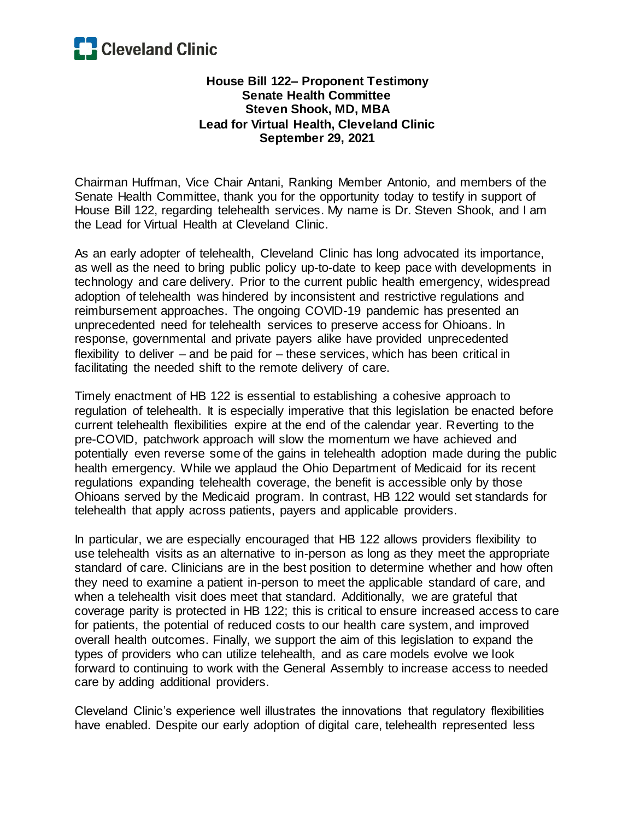

## **House Bill 122– Proponent Testimony Senate Health Committee Steven Shook, MD, MBA Lead for Virtual Health, Cleveland Clinic September 29, 2021**

Chairman Huffman, Vice Chair Antani, Ranking Member Antonio, and members of the Senate Health Committee, thank you for the opportunity today to testify in support of House Bill 122, regarding telehealth services. My name is Dr. Steven Shook, and I am the Lead for Virtual Health at Cleveland Clinic.

As an early adopter of telehealth, Cleveland Clinic has long advocated its importance, as well as the need to bring public policy up-to-date to keep pace with developments in technology and care delivery. Prior to the current public health emergency, widespread adoption of telehealth was hindered by inconsistent and restrictive regulations and reimbursement approaches. The ongoing COVID-19 pandemic has presented an unprecedented need for telehealth services to preserve access for Ohioans. In response, governmental and private payers alike have provided unprecedented flexibility to deliver – and be paid for – these services, which has been critical in facilitating the needed shift to the remote delivery of care.

Timely enactment of HB 122 is essential to establishing a cohesive approach to regulation of telehealth. It is especially imperative that this legislation be enacted before current telehealth flexibilities expire at the end of the calendar year. Reverting to the pre-COVID, patchwork approach will slow the momentum we have achieved and potentially even reverse some of the gains in telehealth adoption made during the public health emergency. While we applaud the Ohio Department of Medicaid for its recent regulations expanding telehealth coverage, the benefit is accessible only by those Ohioans served by the Medicaid program. In contrast, HB 122 would set standards for telehealth that apply across patients, payers and applicable providers.

In particular, we are especially encouraged that HB 122 allows providers flexibility to use telehealth visits as an alternative to in-person as long as they meet the appropriate standard of care. Clinicians are in the best position to determine whether and how often they need to examine a patient in-person to meet the applicable standard of care, and when a telehealth visit does meet that standard. Additionally, we are grateful that coverage parity is protected in HB 122; this is critical to ensure increased access to care for patients, the potential of reduced costs to our health care system, and improved overall health outcomes. Finally, we support the aim of this legislation to expand the types of providers who can utilize telehealth, and as care models evolve we look forward to continuing to work with the General Assembly to increase access to needed care by adding additional providers.

Cleveland Clinic's experience well illustrates the innovations that regulatory flexibilities have enabled. Despite our early adoption of digital care, telehealth represented less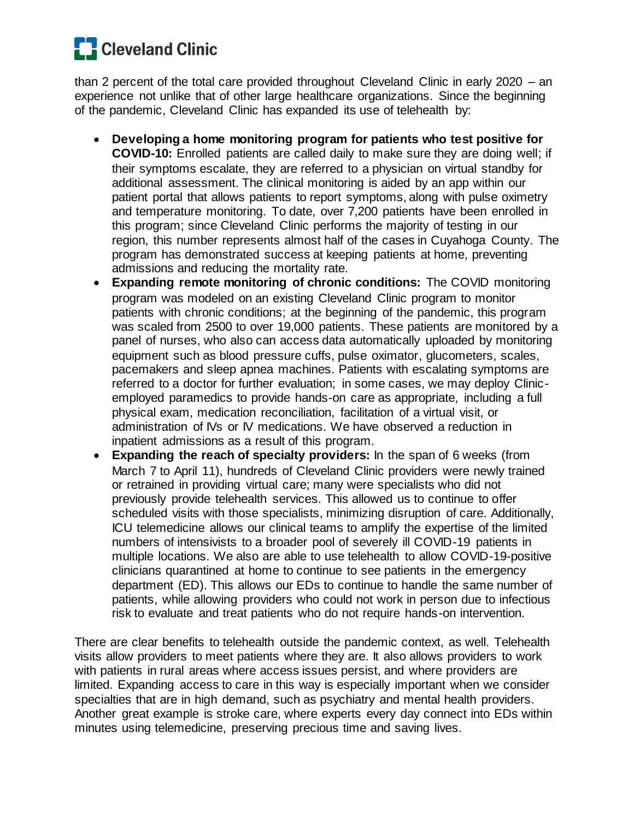## **C** Cleveland Clinic

than 2 percent of the total care provided throughout Cleveland Clinic in early 2020 – an experience not unlike that of other large healthcare organizations. Since the beginning of the pandemic, Cleveland Clinic has expanded its use of telehealth by:

- **Developing a home monitoring program for patients who test positive for COVID-10:** Enrolled patients are called daily to make sure they are doing well; if their symptoms escalate, they are referred to a physician on virtual standby for additional assessment. The clinical monitoring is aided by an app within our patient portal that allows patients to report symptoms, along with pulse oximetry and temperature monitoring. To date, over 7,200 patients have been enrolled in this program; since Cleveland Clinic performs the majority of testing in our region, this number represents almost half of the cases in Cuyahoga County. The program has demonstrated success at keeping patients at home, preventing admissions and reducing the mortality rate.
- **Expanding remote monitoring of chronic conditions:** The COVID monitoring program was modeled on an existing Cleveland Clinic program to monitor patients with chronic conditions; at the beginning of the pandemic, this program was scaled from 2500 to over 19,000 patients. These patients are monitored by a panel of nurses, who also can access data automatically uploaded by monitoring equipment such as blood pressure cuffs, pulse oximator, glucometers, scales, pacemakers and sleep apnea machines. Patients with escalating symptoms are referred to a doctor for further evaluation; in some cases, we may deploy Clinicemployed paramedics to provide hands-on care as appropriate, including a full physical exam, medication reconciliation, facilitation of a virtual visit, or administration of IVs or IV medications. We have observed a reduction in inpatient admissions as a result of this program.
- **Expanding the reach of specialty providers:** In the span of 6 weeks (from March 7 to April 11), hundreds of Cleveland Clinic providers were newly trained or retrained in providing virtual care; many were specialists who did not previously provide telehealth services. This allowed us to continue to offer scheduled visits with those specialists, minimizing disruption of care. Additionally, ICU telemedicine allows our clinical teams to amplify the expertise of the limited numbers of intensivists to a broader pool of severely ill COVID-19 patients in multiple locations. We also are able to use telehealth to allow COVID-19-positive clinicians quarantined at home to continue to see patients in the emergency department (ED). This allows our EDs to continue to handle the same number of patients, while allowing providers who could not work in person due to infectious risk to evaluate and treat patients who do not require hands-on intervention.

There are clear benefits to telehealth outside the pandemic context, as well. Telehealth visits allow providers to meet patients where they are. It also allows providers to work with patients in rural areas where access issues persist, and where providers are limited. Expanding access to care in this way is especially important when we consider specialties that are in high demand, such as psychiatry and mental health providers. Another great example is stroke care, where experts every day connect into EDs within minutes using telemedicine, preserving precious time and saving lives.